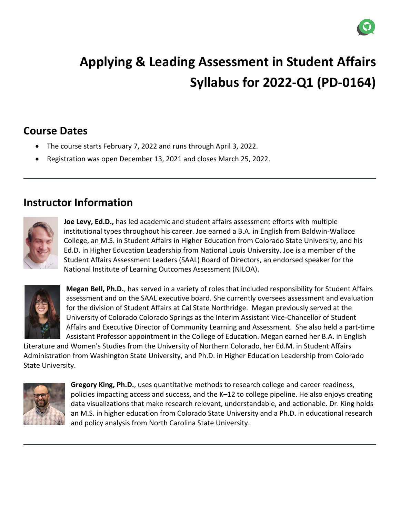

# **Applying & Leading Assessment in Student Affairs Syllabus for 2022-Q1 (PD-0164)**

# **Course Dates**

- The course starts February 7, 2022 and runs through April 3, 2022.
- Registration was open December 13, 2021 and closes March 25, 2022.

### **Instructor Information**



**Joe Levy, Ed.D.,** has led academic and student affairs assessment efforts with multiple institutional types throughout his career. Joe earned a B.A. in English from Baldwin-Wallace College, an M.S. in Student Affairs in Higher Education from Colorado State University, and his Ed.D. in Higher Education Leadership from National Louis University. Joe is a member of the Student Affairs Assessment Leaders (SAAL) Board of Directors, an endorsed speaker for the National Institute of Learning Outcomes Assessment (NILOA).



**Megan Bell, Ph.D.**, has served in a variety of roles that included responsibility for Student Affairs assessment and on the SAAL executive board. She currently oversees assessment and evaluation for the division of Student Affairs at Cal State Northridge. Megan previously served at the University of Colorado Colorado Springs as the Interim Assistant Vice-Chancellor of Student Affairs and Executive Director of Community Learning and Assessment. She also held a part-time Assistant Professor appointment in the College of Education. Megan earned her B.A. in English

Literature and Women's Studies from the University of Northern Colorado, her Ed.M. in Student Affairs Administration from Washington State University, and Ph.D. in Higher Education Leadership from Colorado State University.



**Gregory King, Ph.D.**, uses quantitative methods to research college and career readiness, policies impacting access and success, and the K–12 to college pipeline. He also enjoys creating data visualizations that make research relevant, understandable, and actionable. Dr. King holds an M.S. in higher education from Colorado State University and a Ph.D. in educational research and policy analysis from North Carolina State University.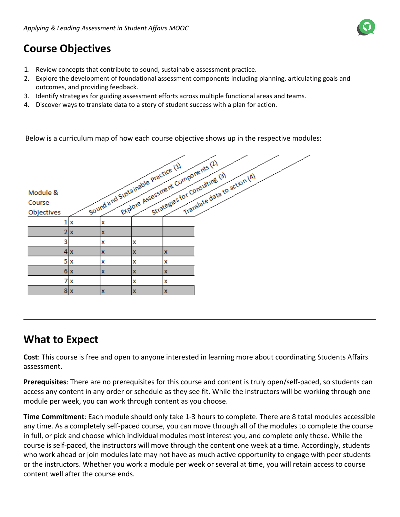# **Course Objectives**

- 1. Review concepts that contribute to sound, sustainable assessment practice.
- 2. Explore the development of foundational assessment components including planning, articulating goals and outcomes, and providing feedback.
- 3. Identify strategies for guiding assessment efforts across multiple functional areas and teams.
- 4. Discover ways to translate data to a story of student success with a plan for action.

Below is a curriculum map of how each course objective shows up in the respective modules:

|            |    | Sound and Sustainable practice (1) |   | Explore Assessment Components (2) |                                                               |  |
|------------|----|------------------------------------|---|-----------------------------------|---------------------------------------------------------------|--|
|            |    |                                    |   |                                   | Strategies for Consulting (3)<br>Translate data to action (4) |  |
| Module &   |    |                                    |   |                                   |                                                               |  |
| Course     |    |                                    |   |                                   |                                                               |  |
| Objectives |    |                                    |   |                                   |                                                               |  |
|            | X  | x                                  |   |                                   |                                                               |  |
|            | 2x | x                                  |   |                                   |                                                               |  |
| 3          |    | x                                  | X |                                   |                                                               |  |
|            | 4x | X                                  | X | x                                 |                                                               |  |
| 5          | X  | x                                  | X | x                                 |                                                               |  |
|            | 6x | $\mathbf x$                        | x | x                                 |                                                               |  |
| 7          | X  |                                    | X | x                                 |                                                               |  |
|            | 8x | $\mathbf x$                        | x | $\mathbf x$                       |                                                               |  |

### **What to Expect**

**Cost**: This course is free and open to anyone interested in learning more about coordinating Students Affairs assessment.

**Prerequisites**: There are no prerequisites for this course and content is truly open/self-paced, so students can access any content in any order or schedule as they see fit. While the instructors will be working through one module per week, you can work through content as you choose.

**Time Commitment**: Each module should only take 1-3 hours to complete. There are 8 total modules accessible any time. As a completely self-paced course, you can move through all of the modules to complete the course in full, or pick and choose which individual modules most interest you, and complete only those. While the course is self-paced, the instructors will move through the content one week at a time. Accordingly, students who work ahead or join modules late may not have as much active opportunity to engage with peer students or the instructors. Whether you work a module per week or several at time, you will retain access to course content well after the course ends.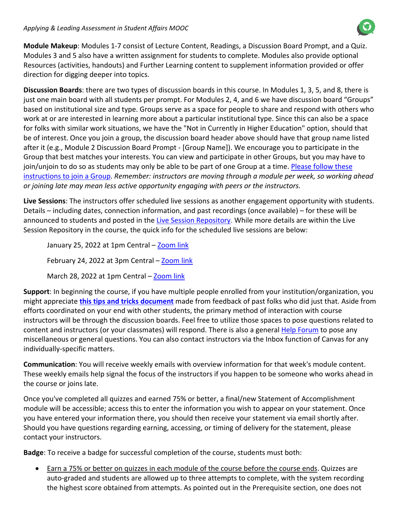#### *Applying & Leading Assessment in Student Affairs MOOC*

**Module Makeup**: Modules 1-7 consist of Lecture Content, Readings, a Discussion Board Prompt, and a Quiz. Modules 3 and 5 also have a written assignment for students to complete. Modules also provide optional Resources (activities, handouts) and Further Learning content to supplement information provided or offer direction for digging deeper into topics.

**Discussion Boards**: there are two types of discussion boards in this course. In Modules 1, 3, 5, and 8, there is just one main board with all students per prompt. For Modules 2, 4, and 6 we have discussion board "Groups" based on institutional size and type. Groups serve as a space for people to share and respond with others who work at or are interested in learning more about a particular institutional type. Since this can also be a space for folks with similar work situations, we have the "Not in Currently in Higher Education" option, should that be of interest. Once you join a group, the discussion board header above should have that group name listed after it (e.g., Module 2 Discussion Board Prompt - [Group Name]). We encourage you to participate in the Group that best matches your interests. You can view and participate in other Groups, but you may have to join/unjoin to do so as students may only be able to be part of one Group at a time[. Please follow these](file://ca-toadtown/courses/3023/files/970509/download?wrap=1)  [instructions to join a Group.](file://ca-toadtown/courses/3023/files/970509/download?wrap=1) *Remember: instructors are moving through a module per week, so working ahead or joining late may mean less active opportunity engaging with peers or the instructors.*

**Live Sessions**: The instructors offer scheduled live sessions as another engagement opportunity with students. Details – including dates, connection information, and past recordings (once available) – for these will be announced to students and posted in the [Live Session Repository.](https://learn.canvas.net/courses/2778/discussion_topics/45713) While more details are within the Live Session Repository in the course, the quick info for the scheduled live sessions are below:

January 25, 2022 at 1pm Central - [Zoom link](https://nl.zoom.us/j/91458214032) February 24, 2022 at 3pm Central – [Zoom link](https://nl.zoom.us/j/94399200614) March 28, 2022 at 1pm Central – [Zoom link](https://nl.zoom.us/j/98228511480)

**Support**: In beginning the course, if you have multiple people enrolled from your institution/organization, you might appreciate **[this tips and tricks document](https://drive.google.com/file/d/1Mg_ONE-vfqSxO1IrQGNZOp9NnMQgbP8w/view?usp=sharing)** made from feedback of past folks who did just that. Aside from efforts coordinated on your end with other students, the primary method of interaction with course instructors will be through the discussion boards. Feel free to utilize those spaces to pose questions related to content and instructors (or your classmates) will respond. There is also a general **[Help Forum](https://learn.canvas.net/courses/2778/discussion_topics/45719)** to pose any miscellaneous or general questions. You can also contact instructors via the Inbox function of Canvas for any individually-specific matters.

**Communication**: You will receive weekly emails with overview information for that week's module content. These weekly emails help signal the focus of the instructors if you happen to be someone who works ahead in the course or joins late.

Once you've completed all quizzes and earned 75% or better, a final/new Statement of Accomplishment module will be accessible; access this to enter the information you wish to appear on your statement. Once you have entered your information there, you should then receive your statement via email shortly after. Should you have questions regarding earning, accessing, or timing of delivery for the statement, please contact your instructors.

**Badge**: To receive a badge for successful completion of the course, students must both:

• Earn a 75% or better on quizzes in each module of the course before the course ends. Quizzes are auto-graded and students are allowed up to three attempts to complete, with the system recording the highest score obtained from attempts. As pointed out in the Prerequisite section, one does not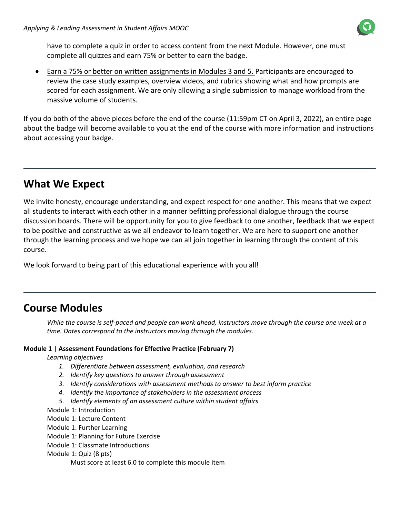

have to complete a quiz in order to access content from the next Module. However, one must complete all quizzes and earn 75% or better to earn the badge.

• Earn a 75% or better on written assignments in Modules 3 and 5. Participants are encouraged to review the case study examples, overview videos, and rubrics showing what and how prompts are scored for each assignment. We are only allowing a single submission to manage workload from the massive volume of students.

If you do both of the above pieces before the end of the course (11:59pm CT on April 3, 2022), an entire page about the badge will become available to you at the end of the course with more information and instructions about accessing your badge.

# **What We Expect**

We invite honesty, encourage understanding, and expect respect for one another. This means that we expect all students to interact with each other in a manner befitting professional dialogue through the course discussion boards. There will be opportunity for you to give feedback to one another, feedback that we expect to be positive and constructive as we all endeavor to learn together. We are here to support one another through the learning process and we hope we can all join together in learning through the content of this course.

We look forward to being part of this educational experience with you all!

### **Course Modules**

*While the course is self-paced and people can work ahead, instructors move through the course one week at a time. Dates correspond to the instructors moving through the modules.*

#### **Module 1 | Assessment Foundations for Effective Practice (February 7)**

*Learning objectives*

- *1. Differentiate between assessment, evaluation, and research*
- *2. Identify key questions to answer through assessment*
- *3. Identify considerations with assessment methods to answer to best inform practice*
- *4. Identify the importance of stakeholders in the assessment process*
- *5. Identify elements of an assessment culture within student affairs*

Module 1: Introduction

Module 1: Lecture Content

Module 1: Further Learning

Module 1: Planning for Future Exercise

Module 1: Classmate Introductions

Module 1: Quiz (8 pts)

Must score at least 6.0 to complete this module item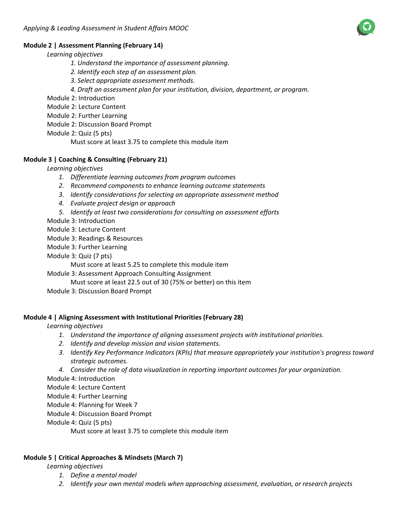#### **Module 2 | Assessment Planning (February 14)**

*Learning objectives*

- *1. Understand the importance of assessment planning.*
- *2. Identify each step of an assessment plan.*
- *3. Select appropriate assessment methods.*
- *4. Draft an assessment plan for your institution, division, department, or program.*
- Module 2: Introduction
- Module 2: Lecture Content
- Module 2: Further Learning
- Module 2: Discussion Board Prompt
- Module 2: Quiz (5 pts)

Must score at least 3.75 to complete this module item

#### **Module 3 | Coaching & Consulting (February 21)**

*Learning objectives*

- *1. Differentiate learning outcomes from program outcomes*
- *2. Recommend components to enhance learning outcome statements*
- *3. Identify considerations for selecting an appropriate assessment method*
- *4. Evaluate project design or approach*
- *5. Identify at least two considerations for consulting on assessment efforts*

Module 3: Introduction

Module 3: Lecture Content

Module 3: Readings & Resources

Module 3: Further Learning

Module 3: Quiz (7 pts)

Must score at least 5.25 to complete this module item

Module 3: Assessment Approach Consulting Assignment

Must score at least 22.5 out of 30 (75% or better) on this item

Module 3: Discussion Board Prompt

#### **Module 4 | Aligning Assessment with Institutional Priorities (February 28)**

*Learning objectives*

- *1. Understand the importance of aligning assessment projects with institutional priorities.*
- *2. Identify and develop mission and vision statements.*
- *3. Identify Key Performance Indicators (KPIs) that measure appropriately your institution's progress toward strategic outcomes.*
- *4. Consider the role of data visualization in reporting important outcomes for your organization.*

Module 4: Introduction

Module 4: Lecture Content

Module 4: Further Learning

Module 4: Planning for Week 7

Module 4: Discussion Board Prompt

Module 4: Quiz (5 pts)

Must score at least 3.75 to complete this module item

#### **Module 5 | Critical Approaches & Mindsets (March 7)**

*Learning objectives*

- *1. Define a mental model*
- *2. Identify your own mental models when approaching assessment, evaluation, or research projects*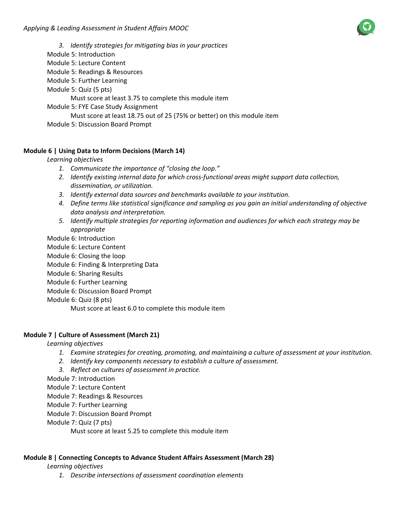*3. Identify strategies for mitigating bias in your practices* Module 5: Introduction Module 5: Lecture Content Module 5: Readings & Resources Module 5: Further Learning Module 5: Quiz (5 pts) Must score at least 3.75 to complete this module item Module 5: FYE Case Study Assignment Must score at least 18.75 out of 25 (75% or better) on this module item Module 5: Discussion Board Prompt

#### **Module 6 | Using Data to Inform Decisions (March 14)**

*Learning objectives*

- *1. Communicate the importance of "closing the loop."*
- *2. Identify existing internal data for which cross-functional areas might support data collection, dissemination, or utilization.*
- *3. Identify external data sources and benchmarks available to your institution.*
- *4. Define terms like statistical significance and sampling as you gain an initial understanding of objective data analysis and interpretation.*
- *5. Identify multiple strategies for reporting information and audiences for which each strategy may be appropriate*

Module 6: Introduction

- Module 6: Lecture Content
- Module 6: Closing the loop

Module 6: Finding & Interpreting Data

- Module 6: Sharing Results
- Module 6: Further Learning

Module 6: Discussion Board Prompt

Module 6: Quiz (8 pts)

Must score at least 6.0 to complete this module item

#### **Module 7 | Culture of Assessment (March 21)**

*Learning objectives*

- *1. Examine strategies for creating, promoting, and maintaining a culture of assessment at your institution.*
- *2. Identify key components necessary to establish a culture of assessment.*
- *3. Reflect on cultures of assessment in practice.*

Module 7: Introduction

Module 7: Lecture Content

Module 7: Readings & Resources

Module 7: Further Learning

Module 7: Discussion Board Prompt

Module 7: Quiz (7 pts)

Must score at least 5.25 to complete this module item

#### **Module 8 | Connecting Concepts to Advance Student Affairs Assessment (March 28)**

*Learning objectives*

*1. Describe intersections of assessment coordination elements*